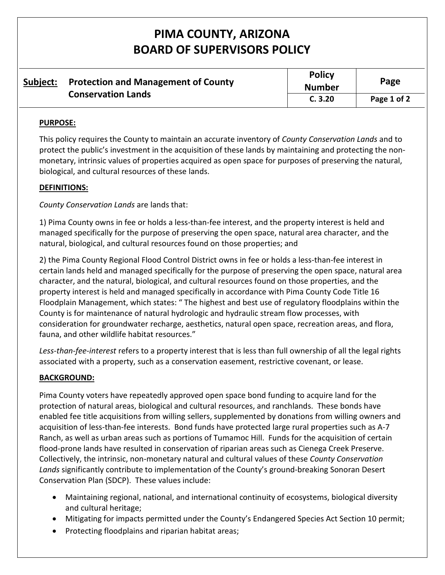# **PIMA COUNTY, ARIZONA BOARD OF SUPERVISORS POLICY**

| Subject: | <b>Protection and Management of County</b><br><b>Conservation Lands</b> | <b>Policy</b><br><b>Number</b> | Page        |
|----------|-------------------------------------------------------------------------|--------------------------------|-------------|
|          |                                                                         | C.3.20                         | Page 1 of 2 |

## **PURPOSE:**

This policy requires the County to maintain an accurate inventory of *County Conservation Lands* and to protect the public's investment in the acquisition of these lands by maintaining and protecting the nonmonetary, intrinsic values of properties acquired as open space for purposes of preserving the natural, biological, and cultural resources of these lands.

## **DEFINITIONS:**

*County Conservation Lands* are lands that:

1) Pima County owns in fee or holds a less-than-fee interest, and the property interest is held and managed specifically for the purpose of preserving the open space, natural area character, and the natural, biological, and cultural resources found on those properties; and

2) the Pima County Regional Flood Control District owns in fee or holds a less-than-fee interest in certain lands held and managed specifically for the purpose of preserving the open space, natural area character, and the natural, biological, and cultural resources found on those properties, and the property interest is held and managed specifically in accordance with Pima County Code Title 16 Floodplain Management, which states: " The highest and best use of regulatory floodplains within the County is for maintenance of natural hydrologic and hydraulic stream flow processes, with consideration for groundwater recharge, aesthetics, natural open space, recreation areas, and flora, fauna, and other wildlife habitat resources."

*Less-than-fee-interest* refers to a property interest that is less than full ownership of all the legal rights associated with a property, such as a conservation easement, restrictive covenant, or lease.

## **BACKGROUND:**

Pima County voters have repeatedly approved open space bond funding to acquire land for the protection of natural areas, biological and cultural resources, and ranchlands. These bonds have enabled fee title acquisitions from willing sellers, supplemented by donations from willing owners and acquisition of less-than-fee interests. Bond funds have protected large rural properties such as A-7 Ranch, as well as urban areas such as portions of Tumamoc Hill. Funds for the acquisition of certain flood-prone lands have resulted in conservation of riparian areas such as Cienega Creek Preserve. Collectively, the intrinsic, non-monetary natural and cultural values of these *County Conservation Lands* significantly contribute to implementation of the County's ground-breaking Sonoran Desert Conservation Plan (SDCP). These values include:

- Maintaining regional, national, and international continuity of ecosystems, biological diversity and cultural heritage;
- Mitigating for impacts permitted under the County's Endangered Species Act Section 10 permit;
- Protecting floodplains and riparian habitat areas;